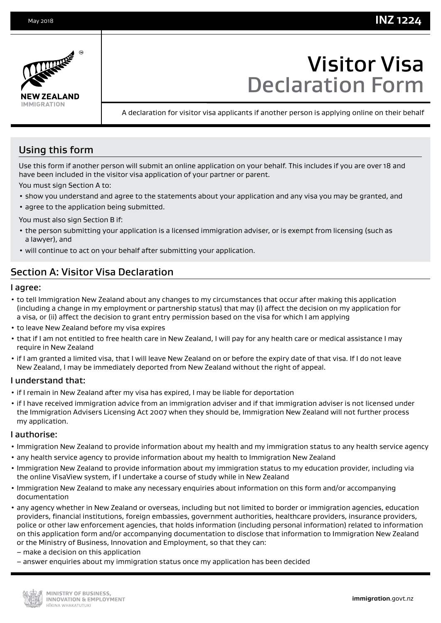## **INZ 1224**



# Visitor Visa Declaration Form

A declaration for visitor visa applicants if another person is applying online on their behalf

## Using this form

Use this form if another person will submit an online application on your behalf. This includes if you are over 18 and have been included in the visitor visa application of your partner or parent.

You must sign Section A to:

- show you understand and agree to the statements about your application and any visa you may be granted, and
- agree to the application being submitted.

You must also sign Section B if:

- the person submitting your application is a licensed immigration adviser, or is exempt from licensing (such as a lawyer), and
- will continue to act on your behalf after submitting your application.

## Section A: Visitor Visa Declaration

#### I agree:

- to tell Immigration New Zealand about any changes to my circumstances that occur after making this application (including a change in my employment or partnership status) that may (i) affect the decision on my application for a visa, or (ii) affect the decision to grant entry permission based on the visa for which I am applying
- to leave New Zealand before my visa expires
- that if I am not entitled to free health care in New Zealand, I will pay for any health care or medical assistance I may require in New Zealand
- if I am granted a limited visa, that I will leave New Zealand on or before the expiry date of that visa. If I do not leave New Zealand, I may be immediately deported from New Zealand without the right of appeal.

#### I understand that:

- if I remain in New Zealand after my visa has expired, I may be liable for deportation
- if I have received immigration advice from an immigration adviser and if that immigration adviser is not licensed under the Immigration Advisers Licensing Act 2007 when they should be, Immigration New Zealand will not further process my application.

#### I authorise:

- Immigration New Zealand to provide information about my health and my immigration status to any health service agency
- any health service agency to provide information about my health to Immigration New Zealand
- Immigration New Zealand to provide information about my immigration status to my education provider, including via the online VisaView system, if I undertake a course of study while in New Zealand
- Immigration New Zealand to make any necessary enquiries about information on this form and/or accompanying documentation
- any agency whether in New Zealand or overseas, including but not limited to border or immigration agencies, education providers, financial institutions, foreign embassies, government authorities, healthcare providers, insurance providers, police or other law enforcement agencies, that holds information (including personal information) related to information on this application form and/or accompanying documentation to disclose that information to Immigration New Zealand or the Ministry of Business, Innovation and Employment, so that they can:
- make a decision on this application
- answer enquiries about my immigration status once my application has been decided